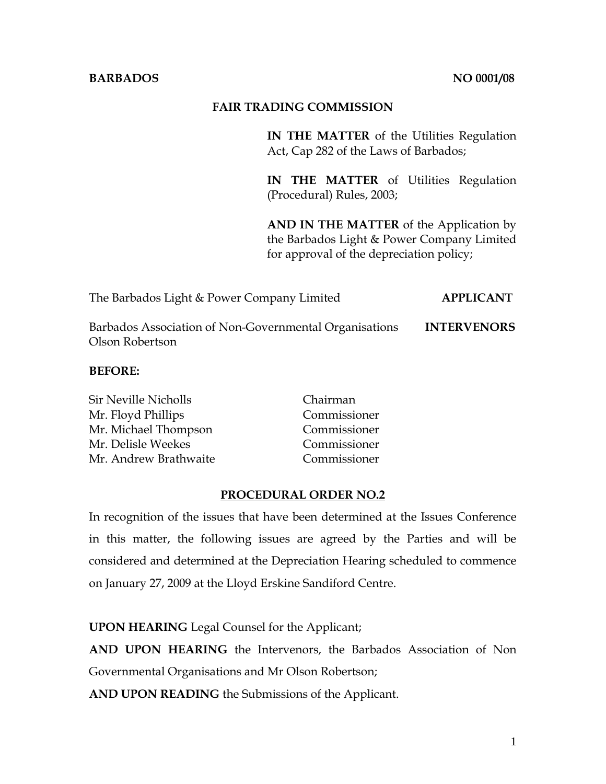## **BARBADOS** NO 0001/08

## **FAIR TRADING COMMISSION**

**IN THE MATTER** of the Utilities Regulation Act, Cap 282 of the Laws of Barbados;

**IN THE MATTER** of Utilities Regulation (Procedural) Rules, 2003;

**AND IN THE MATTER** of the Application by the Barbados Light & Power Company Limited for approval of the depreciation policy;

The Barbados Light & Power Company Limited **APPLICANT** 

Barbados Association of Non-Governmental Organisations **INTERVENORS**  Olson Robertson

### **BEFORE:**

| <b>Sir Neville Nicholls</b> | Chairman     |
|-----------------------------|--------------|
| Mr. Floyd Phillips          | Commissioner |
| Mr. Michael Thompson        | Commissioner |
| Mr. Delisle Weekes          | Commissioner |
| Mr. Andrew Brathwaite       | Commissioner |

### **PROCEDURAL ORDER NO.2**

In recognition of the issues that have been determined at the Issues Conference in this matter, the following issues are agreed by the Parties and will be considered and determined at the Depreciation Hearing scheduled to commence on January 27, 2009 at the Lloyd Erskine Sandiford Centre.

**UPON HEARING** Legal Counsel for the Applicant;

**AND UPON HEARING** the Intervenors, the Barbados Association of Non Governmental Organisations and Mr Olson Robertson;

**AND UPON READING** the Submissions of the Applicant.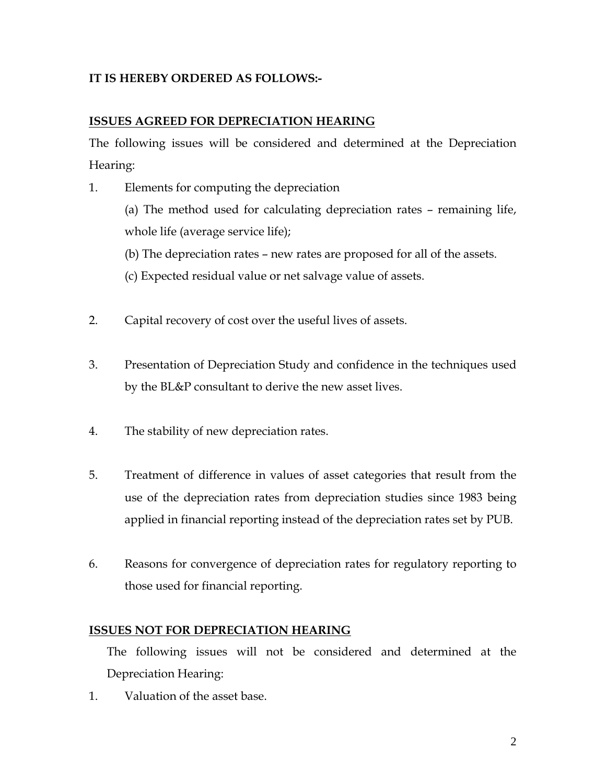# **IT IS HEREBY ORDERED AS FOLLOWS:-**

# **ISSUES AGREED FOR DEPRECIATION HEARING**

The following issues will be considered and determined at the Depreciation Hearing:

- 1. Elements for computing the depreciation (a) The method used for calculating depreciation rates – remaining life, whole life (average service life); (b) The depreciation rates – new rates are proposed for all of the assets. (c) Expected residual value or net salvage value of assets.
- 2. Capital recovery of cost over the useful lives of assets.
- 3. Presentation of Depreciation Study and confidence in the techniques used by the BL&P consultant to derive the new asset lives.
- 4. The stability of new depreciation rates.
- 5. Treatment of difference in values of asset categories that result from the use of the depreciation rates from depreciation studies since 1983 being applied in financial reporting instead of the depreciation rates set by PUB.
- 6. Reasons for convergence of depreciation rates for regulatory reporting to those used for financial reporting.

# **ISSUES NOT FOR DEPRECIATION HEARING**

The following issues will not be considered and determined at the Depreciation Hearing:

1. Valuation of the asset base.